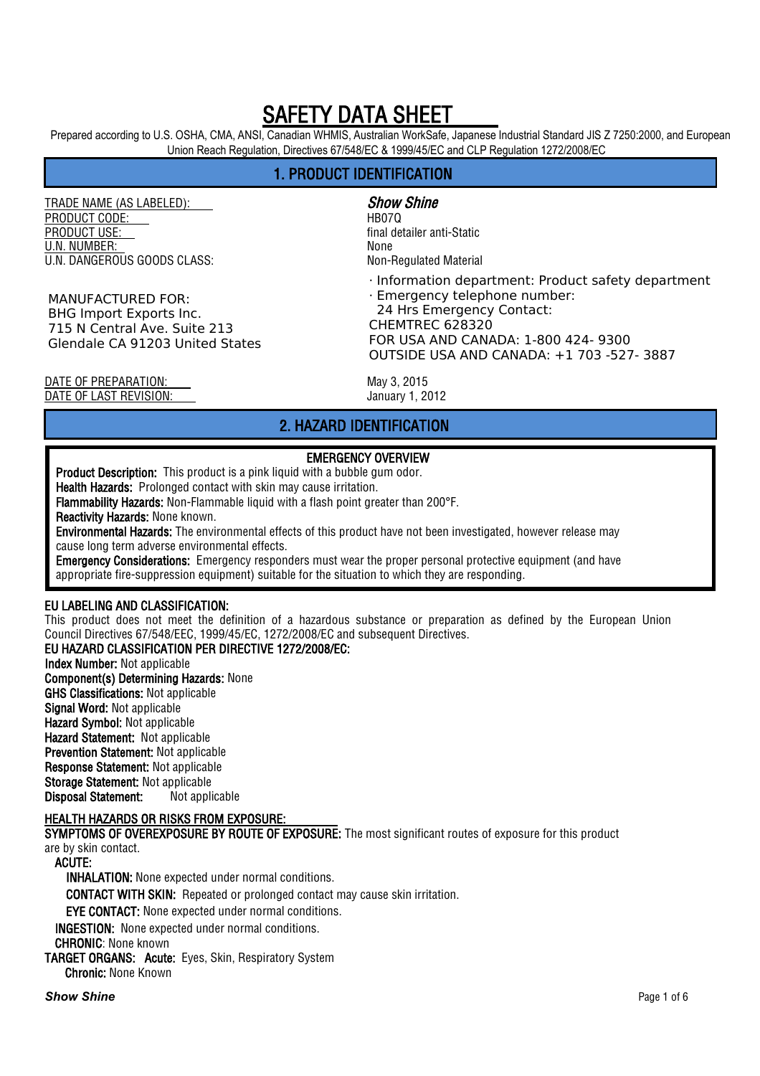Prepared according to U.S. OSHA, CMA, ANSI, Canadian WHMIS, Australian WorkSafe, Japanese Industrial Standard JIS Z 7250:2000, and European Union Reach Regulation, Directives 67/548/EC & 1999/45/EC and CLP Regulation 1272/2008/EC

# 1. PRODUCT IDENTIFICATION

TRADE NAME (AS LABELED): Show Shine PRODUCT CODE: HB07Q U.N. NUMBER: None U.N. DANGEROUS GOODS CLASS: Non-Requiated Material

MANUFACTURED FOR: BHG Import Exports Inc. 715 N Central Ave. Suite 213 Glendale CA 91203 United States

final detailer anti-Static

· Information department: Product safety department

· Emergency telephone number: 24 Hrs Emergency Contact: CHEMTREC 628320 FOR USA AND CANADA: 1-800 424- 9300 OUTSIDE USA AND CANADA: +1 703 -527- 3887

DATE OF PREPARATION: May 3, 2015 DATE OF LAST REVISION: January 1, 2012

# 2. HAZARD IDENTIFICATION

#### EMERGENCY OVERVIEW

Product Description: This product is a pink liquid with a bubble gum odor.

Health Hazards: Prolonged contact with skin may cause irritation.

Flammability Hazards: Non-Flammable liquid with a flash point greater than 200°F.

Reactivity Hazards: None known.

Environmental Hazards: The environmental effects of this product have not been investigated, however release may cause long term adverse environmental effects.

Emergency Considerations: Emergency responders must wear the proper personal protective equipment (and have appropriate fire-suppression equipment) suitable for the situation to which they are responding.

#### EU LABELING AND CLASSIFICATION:

This product does not meet the definition of a hazardous substance or preparation as defined by the European Union Council Directives 67/548/EEC, 1999/45/EC, 1272/2008/EC and subsequent Directives.

#### EU HAZARD CLASSIFICATION PER DIRECTIVE 1272/2008/EC:

Index Number: Not applicable Component(s) Determining Hazards: None GHS Classifications: Not applicable Signal Word: Not applicable Hazard Symbol: Not applicable Hazard Statement: Not applicable Prevention Statement: Not applicable Response Statement: Not applicable Storage Statement: Not applicable Disposal Statement: Not applicable

#### HEALTH HAZARDS OR RISKS FROM EXPOSURE:

SYMPTOMS OF OVEREXPOSURE BY ROUTE OF EXPOSURE: The most significant routes of exposure for this product are by skin contact.

ACUTE:

INHALATION: None expected under normal conditions.

CONTACT WITH SKIN: Repeated or prolonged contact may cause skin irritation.

EYE CONTACT: None expected under normal conditions.

INGESTION: None expected under normal conditions.

CHRONIC: None known

TARGET ORGANS: Acute: Eyes, Skin, Respiratory System Chronic: None Known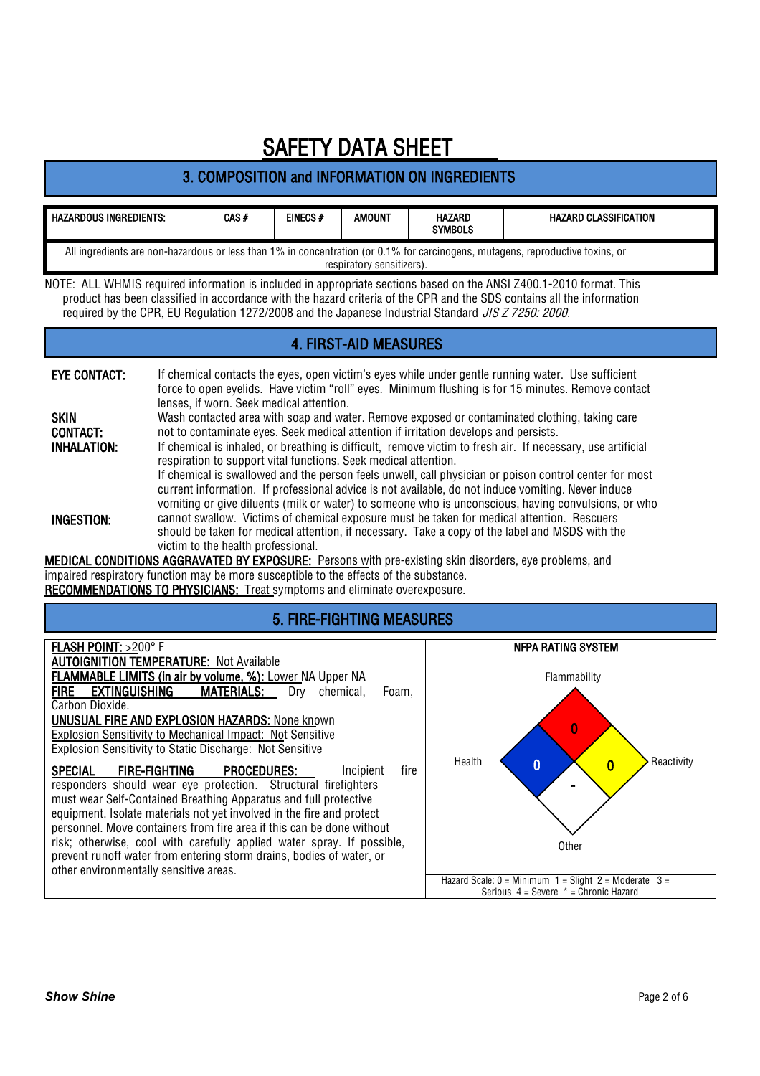# 3. COMPOSITION and INFORMATION ON INGREDIENTS

| <b>HAZARDOUS INGREDIENTS:</b>                                                                                                                               | $CAS$ # | EINECS# | AMOUNT | <b>HAZARD</b><br><b>SYMBOLS</b> | <b>HAZARD CLASSIFICATION</b> |  |
|-------------------------------------------------------------------------------------------------------------------------------------------------------------|---------|---------|--------|---------------------------------|------------------------------|--|
| All ingredients are non-hazardous or less than 1% in concentration (or 0.1% for carcinogens, mutagens, reproductive toxins, or<br>respiratory sensitizers). |         |         |        |                                 |                              |  |

NOTE: ALL WHMIS required information is included in appropriate sections based on the ANSI Z400.1-2010 format. This product has been classified in accordance with the hazard criteria of the CPR and the SDS contains all the information required by the CPR, EU Regulation 1272/2008 and the Japanese Industrial Standard JIS Z 7250: 2000.

### 4. FIRST-AID MEASURES

| <b>EYE CONTACT:</b> | If chemical contacts the eyes, open victim's eyes while under gentle running water. Use sufficient<br>force to open eyelids. Have victim "roll" eyes. Minimum flushing is for 15 minutes. Remove contact<br>lenses, if worn. Seek medical attention.                                                                |
|---------------------|---------------------------------------------------------------------------------------------------------------------------------------------------------------------------------------------------------------------------------------------------------------------------------------------------------------------|
| <b>SKIN</b>         | Wash contacted area with soap and water. Remove exposed or contaminated clothing, taking care                                                                                                                                                                                                                       |
| <b>CONTACT:</b>     | not to contaminate eyes. Seek medical attention if irritation develops and persists.                                                                                                                                                                                                                                |
| INHALATION:         | If chemical is inhaled, or breathing is difficult, remove victim to fresh air. If necessary, use artificial<br>respiration to support vital functions. Seek medical attention.                                                                                                                                      |
|                     | If chemical is swallowed and the person feels unwell, call physician or poison control center for most<br>current information. If professional advice is not available, do not induce vomiting. Never induce<br>vomiting or give diluents (milk or water) to someone who is unconscious, having convulsions, or who |
| INGESTION:          | cannot swallow. Victims of chemical exposure must be taken for medical attention. Rescuers<br>should be taken for medical attention, if necessary. Take a copy of the label and MSDS with the<br>victim to the health professional.                                                                                 |

MEDICAL CONDITIONS AGGRAVATED BY EXPOSURE: Persons with pre-existing skin disorders, eye problems, and impaired respiratory function may be more susceptible to the effects of the substance. RECOMMENDATIONS TO PHYSICIANS: Treat symptoms and eliminate overexposure.

#### 5. FIRE-FIGHTING MEASURES

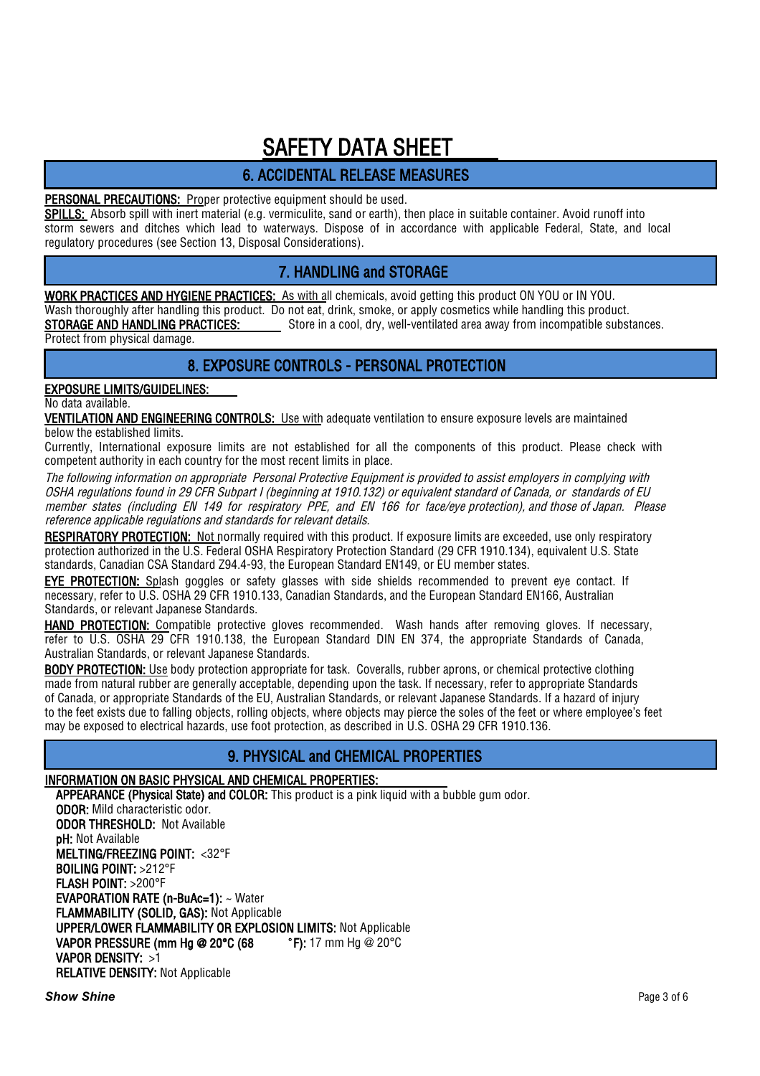# 6. ACCIDENTAL RELEASE MEASURES

#### PERSONAL PRECAUTIONS: Proper protective equipment should be used.

SPILLS: Absorb spill with inert material (e.g. vermiculite, sand or earth), then place in suitable container. Avoid runoff into storm sewers and ditches which lead to waterways. Dispose of in accordance with applicable Federal, State, and local regulatory procedures (see Section 13, Disposal Considerations).

# 7. HANDLING and STORAGE

WORK PRACTICES AND HYGIENE PRACTICES: As with all chemicals, avoid getting this product ON YOU or IN YOU. Wash thoroughly after handling this product. Do not eat, drink, smoke, or apply cosmetics while handling this product. **STORAGE AND HANDLING PRACTICES:** Store in a cool, dry, well-ventilated area away from incompatible substances. Protect from physical damage.

### 8. EXPOSURE CONTROLS - PERSONAL PROTECTION

# EXPOSURE LIMITS/GUIDELINES:

#### No data available.

VENTILATION AND ENGINEERING CONTROLS: Use with adequate ventilation to ensure exposure levels are maintained below the established limits.

Currently, International exposure limits are not established for all the components of this product. Please check with competent authority in each country for the most recent limits in place.

The following information on appropriate Personal Protective Equipment is provided to assist employers in complying with OSHA regulations found in 29 CFR Subpart I (beginning at 1910.132) or equivalent standard of Canada, or standards of EU member states (including EN 149 for respiratory PPE, and EN 166 for face/eye protection), and those of Japan. Please reference applicable regulations and standards for relevant details.

RESPIRATORY PROTECTION: Not normally required with this product. If exposure limits are exceeded, use only respiratory protection authorized in the U.S. Federal OSHA Respiratory Protection Standard (29 CFR 1910.134), equivalent U.S. State standards, Canadian CSA Standard Z94.4-93, the European Standard EN149, or EU member states.

EYE PROTECTION: Splash goggles or safety glasses with side shields recommended to prevent eye contact. If necessary, refer to U.S. OSHA 29 CFR 1910.133, Canadian Standards, and the European Standard EN166, Australian Standards, or relevant Japanese Standards.

HAND PROTECTION: Compatible protective gloves recommended. Wash hands after removing gloves. If necessary, refer to U.S. OSHA 29 CFR 1910.138, the European Standard DIN EN 374, the appropriate Standards of Canada, Australian Standards, or relevant Japanese Standards.

BODY PROTECTION: Use body protection appropriate for task. Coveralls, rubber aprons, or chemical protective clothing made from natural rubber are generally acceptable, depending upon the task. If necessary, refer to appropriate Standards of Canada, or appropriate Standards of the EU, Australian Standards, or relevant Japanese Standards. If a hazard of injury to the feet exists due to falling objects, rolling objects, where objects may pierce the soles of the feet or where employee's feet may be exposed to electrical hazards, use foot protection, as described in U.S. OSHA 29 CFR 1910.136.

### 9. PHYSICAL and CHEMICAL PROPERTIES

#### INFORMATION ON BASIC PHYSICAL AND CHEMICAL PROPERTIES:

APPEARANCE (Physical State) and COLOR: This product is a pink liquid with a bubble gum odor. ODOR: Mild characteristic odor. ODOR THRESHOLD: Not Available pH: Not Available MELTING/FREEZING POINT: <32°F BOILING POINT: >212°F FLASH POINT: >200°F EVAPORATION RATE (n-BuAc=1): ~ Water FLAMMABILITY (SOLID, GAS): Not Applicable UPPER/LOWER FLAMMABILITY OR EXPLOSION LIMITS: Not Applicable VAPOR PRESSURE (mm Hg @ 20°C (68 ° F): 17 mm Hg @ 20°C VAPOR DENSITY: >1 RELATIVE DENSITY: Not Applicable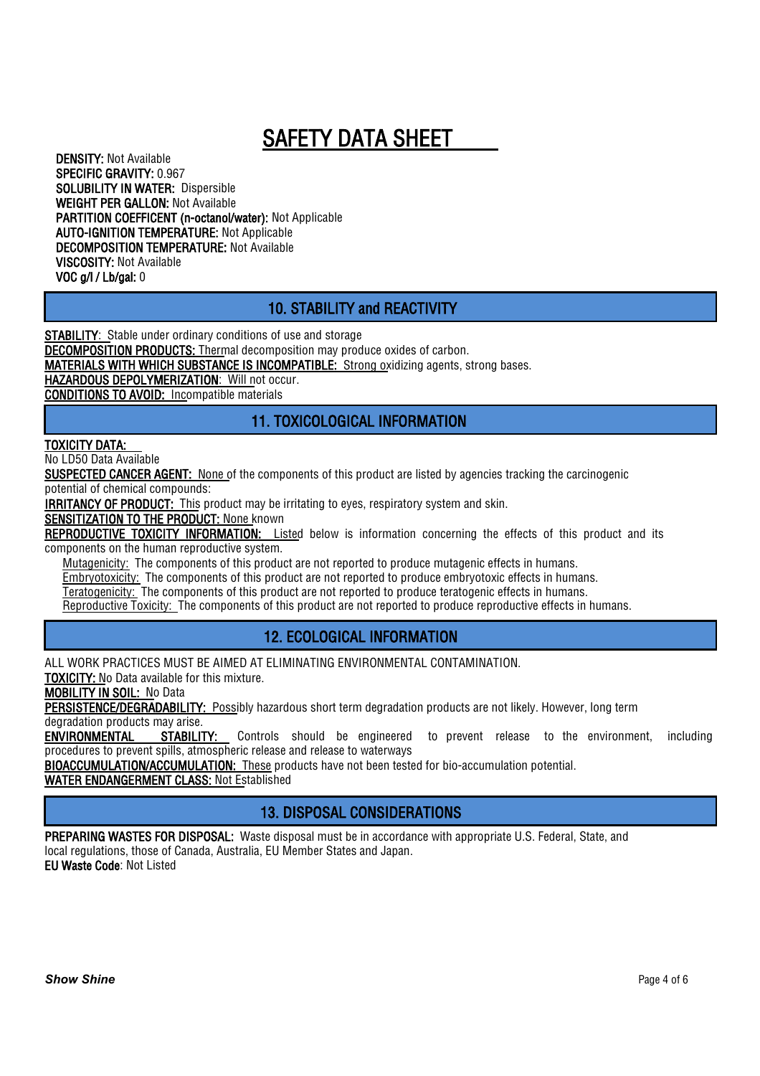DENSITY: Not Available SPECIFIC GRAVITY: 0.967 SOLUBILITY IN WATER: Dispersible WEIGHT PER GALLON: Not Available PARTITION COEFFICENT (n-octanol/water): Not Applicable AUTO-IGNITION TEMPERATURE: Not Applicable DECOMPOSITION TEMPERATURE: Not Available VISCOSITY: Not Available VOC g/l / Lb/gal: 0

### 10. STABILITY and REACTIVITY

**STABILITY:** Stable under ordinary conditions of use and storage

DECOMPOSITION PRODUCTS: Thermal decomposition may produce oxides of carbon.

MATERIALS WITH WHICH SUBSTANCE IS INCOMPATIBLE: Strong oxidizing agents, strong bases.

HAZARDOUS DEPOLYMERIZATION: Will not occur.

CONDITIONS TO AVOID: Incompatible materials

### 11. TOXICOLOGICAL INFORMATION

#### TOXICITY DATA:

No LD50 Data Available

SUSPECTED CANCER AGENT: None of the components of this product are listed by agencies tracking the carcinogenic potential of chemical compounds:

**IRRITANCY OF PRODUCT:** This product may be irritating to eyes, respiratory system and skin.

**SENSITIZATION TO THE PRODUCT: None known** 

REPRODUCTIVE TOXICITY INFORMATION: Listed below is information concerning the effects of this product and its components on the human reproductive system.

Mutagenicity: The components of this product are not reported to produce mutagenic effects in humans.

Embryotoxicity: The components of this product are not reported to produce embryotoxic effects in humans.

Teratogenicity: The components of this product are not reported to produce teratogenic effects in humans.

Reproductive Toxicity: The components of this product are not reported to produce reproductive effects in humans.

#### 12. ECOLOGICAL INFORMATION

ALL WORK PRACTICES MUST BE AIMED AT ELIMINATING ENVIRONMENTAL CONTAMINATION.

TOXICITY: No Data available for this mixture.

MOBILITY IN SOIL: No Data

PERSISTENCE/DEGRADABILITY: Possibly hazardous short term degradation products are not likely. However, long term degradation products may arise.

ENVIRONMENTAL STABILITY: Controls should be engineered to prevent release to the environment, including procedures to prevent spills, atmospheric release and release to waterways

BIOACCUMULATION/ACCUMULATION: These products have not been tested for bio-accumulation potential.

WATER ENDANGERMENT CLASS: Not Established

# 13. DISPOSAL CONSIDERATIONS

PREPARING WASTES FOR DISPOSAL: Waste disposal must be in accordance with appropriate U.S. Federal, State, and local regulations, those of Canada, Australia, EU Member States and Japan. EU Waste Code: Not Listed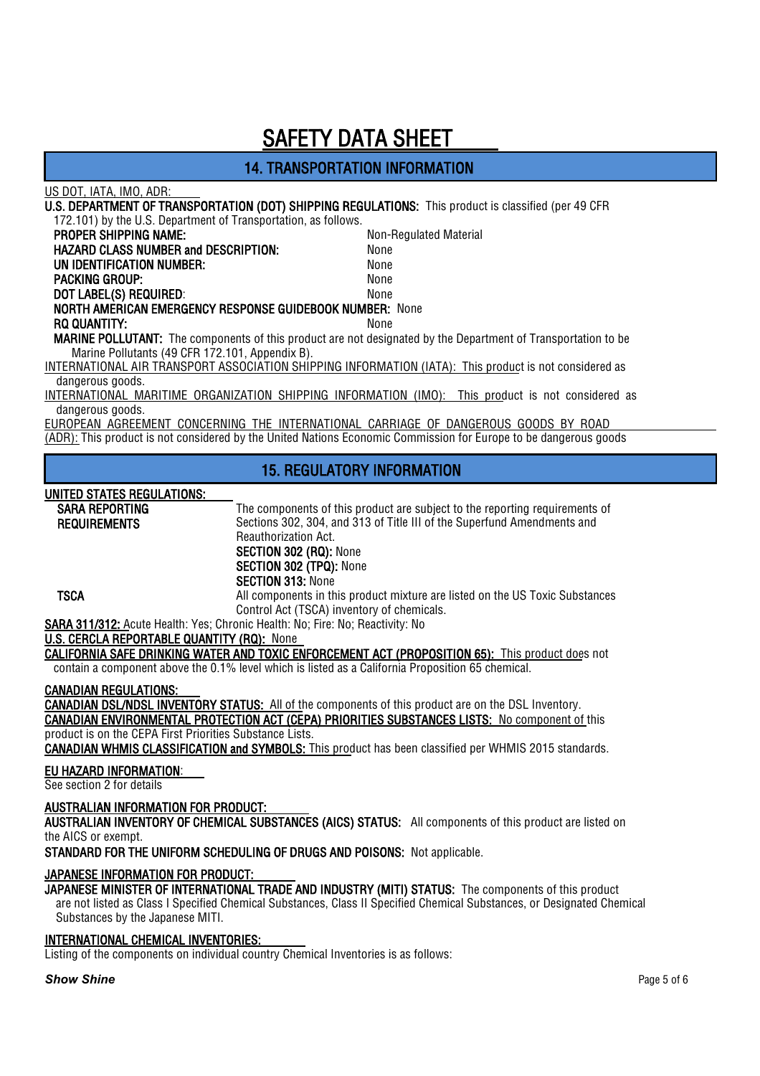### 14. TRANSPORTATION INFORMATION

| US DOT, IATA, IMO, ADR:                                                                           |                                            |                                                                                                                      |
|---------------------------------------------------------------------------------------------------|--------------------------------------------|----------------------------------------------------------------------------------------------------------------------|
|                                                                                                   |                                            | U.S. DEPARTMENT OF TRANSPORTATION (DOT) SHIPPING REGULATIONS: This product is classified (per 49 CFR                 |
| 172.101) by the U.S. Department of Transportation, as follows.                                    |                                            |                                                                                                                      |
| PROPER SHIPPING NAME:                                                                             |                                            | Non-Regulated Material                                                                                               |
| <b>HAZARD CLASS NUMBER and DESCRIPTION:</b>                                                       |                                            | None                                                                                                                 |
| UN IDENTIFICATION NUMBER:                                                                         |                                            | None                                                                                                                 |
| <b>PACKING GROUP:</b>                                                                             |                                            | None                                                                                                                 |
| DOT LABEL(S) REQUIRED:<br>NORTH AMERICAN EMERGENCY RESPONSE GUIDEBOOK NUMBER: None                |                                            | None                                                                                                                 |
| <b>RQ QUANTITY:</b>                                                                               |                                            | None                                                                                                                 |
|                                                                                                   |                                            | <b>MARINE POLLUTANT:</b> The components of this product are not designated by the Department of Transportation to be |
| Marine Pollutants (49 CFR 172.101, Appendix B).                                                   |                                            |                                                                                                                      |
|                                                                                                   |                                            | INTERNATIONAL AIR TRANSPORT ASSOCIATION SHIPPING INFORMATION (IATA): This product is not considered as               |
| dangerous goods.                                                                                  |                                            |                                                                                                                      |
|                                                                                                   |                                            | INTERNATIONAL MARITIME ORGANIZATION SHIPPING INFORMATION (IMO): This product is not considered as                    |
| dangerous goods.                                                                                  |                                            |                                                                                                                      |
|                                                                                                   |                                            | EUROPEAN AGREEMENT CONCERNING THE INTERNATIONAL CARRIAGE OF DANGEROUS GOODS BY ROAD                                  |
|                                                                                                   |                                            | (ADR): This product is not considered by the United Nations Economic Commission for Europe to be dangerous goods     |
|                                                                                                   |                                            |                                                                                                                      |
|                                                                                                   |                                            | <b>15. REGULATORY INFORMATION</b>                                                                                    |
|                                                                                                   |                                            |                                                                                                                      |
|                                                                                                   |                                            |                                                                                                                      |
| UNITED STATES REGULATIONS:                                                                        |                                            |                                                                                                                      |
| <b>SARA REPORTING</b>                                                                             |                                            | The components of this product are subject to the reporting requirements of                                          |
| <b>REQUIREMENTS</b>                                                                               |                                            | Sections 302, 304, and 313 of Title III of the Superfund Amendments and                                              |
|                                                                                                   | Reauthorization Act.                       |                                                                                                                      |
|                                                                                                   | SECTION 302 (RQ): None                     |                                                                                                                      |
|                                                                                                   | SECTION 302 (TPQ): None                    |                                                                                                                      |
|                                                                                                   | <b>SECTION 313: None</b>                   |                                                                                                                      |
| <b>TSCA</b>                                                                                       |                                            | All components in this product mixture are listed on the US Toxic Substances                                         |
|                                                                                                   | Control Act (TSCA) inventory of chemicals. |                                                                                                                      |
| SARA 311/312: Acute Health: Yes; Chronic Health: No; Fire: No; Reactivity: No                     |                                            |                                                                                                                      |
| U.S. CERCLA REPORTABLE QUANTITY (RQ): None                                                        |                                            |                                                                                                                      |
|                                                                                                   |                                            | <b>CALIFORNIA SAFE DRINKING WATER AND TOXIC ENFORCEMENT ACT (PROPOSITION 65):</b> This product does not              |
| contain a component above the 0.1% level which is listed as a California Proposition 65 chemical. |                                            |                                                                                                                      |
| <b>CANADIAN REGULATIONS:</b>                                                                      |                                            |                                                                                                                      |
|                                                                                                   |                                            | <b>CANADIAN DSL/NDSL INVENTORY STATUS:</b> All of the components of this product are on the DSL Inventory.           |
|                                                                                                   |                                            | CANADIAN ENVIRONMENTAL PROTECTION ACT (CEPA) PRIORITIES SUBSTANCES LISTS: No component of this                       |
| product is on the CEPA First Priorities Substance Lists.                                          |                                            |                                                                                                                      |
|                                                                                                   |                                            | <b>CANADIAN WHMIS CLASSIFICATION and SYMBOLS:</b> This product has been classified per WHMIS 2015 standards.         |
| EU HAZARD INFORMATION:                                                                            |                                            |                                                                                                                      |
| See section 2 for details                                                                         |                                            |                                                                                                                      |

#### AUSTRALIAN INFORMATION FOR PRODUCT:

AUSTRALIAN INVENTORY OF CHEMICAL SUBSTANCES (AICS) STATUS: All components of this product are listed on the AICS or exempt.

STANDARD FOR THE UNIFORM SCHEDULING OF DRUGS AND POISONS: Not applicable.

#### JAPANESE INFORMATION FOR PRODUCT:

JAPANESE IN SHIMATION FOLL HOUSES ...<br>JAPANESE MINISTER OF INTERNATIONAL TRADE AND INDUSTRY (MITI) STATUS: The components of this product are not listed as Class I Specified Chemical Substances, Class II Specified Chemical Substances, or Designated Chemical Substances by the Japanese MITI.

#### INTERNATIONAL CHEMICAL INVENTORIES:

Listing of the components on individual country Chemical Inventories is as follows: